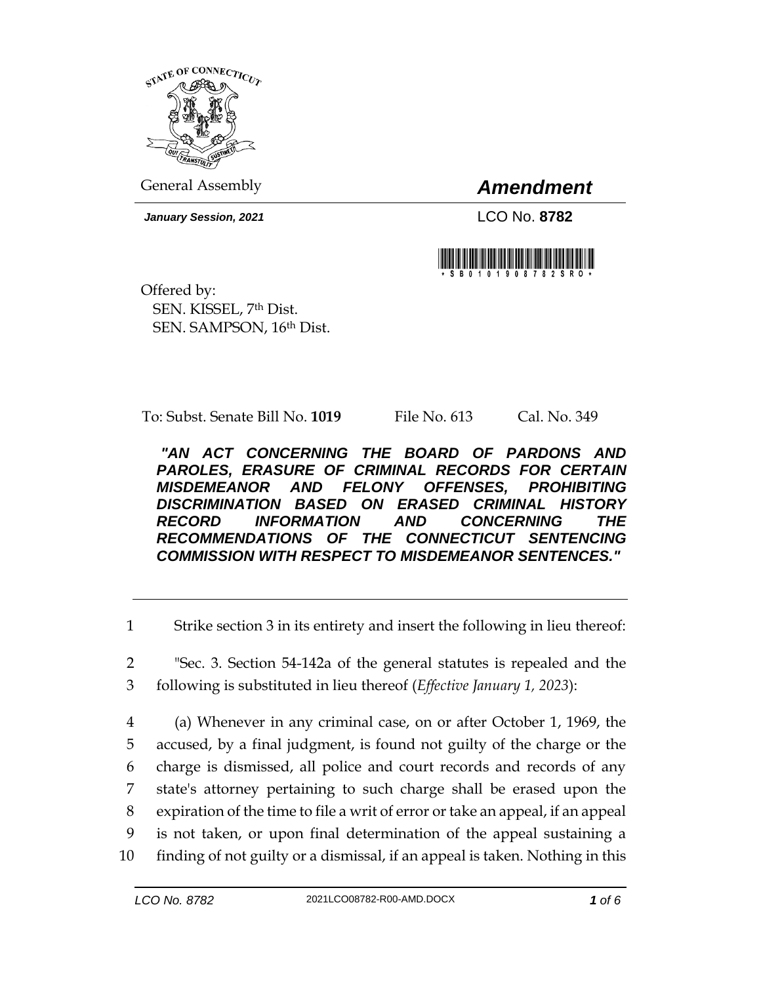

General Assembly *Amendment*

*January Session, 2021* LCO No. **8782**



Offered by: SEN. KISSEL, 7th Dist. SEN. SAMPSON, 16th Dist.

To: Subst. Senate Bill No. **1019** File No. 613 Cal. No. 349

*"AN ACT CONCERNING THE BOARD OF PARDONS AND PAROLES, ERASURE OF CRIMINAL RECORDS FOR CERTAIN MISDEMEANOR AND FELONY OFFENSES, PROHIBITING DISCRIMINATION BASED ON ERASED CRIMINAL HISTORY RECORD INFORMATION AND CONCERNING THE RECOMMENDATIONS OF THE CONNECTICUT SENTENCING COMMISSION WITH RESPECT TO MISDEMEANOR SENTENCES."* 

1 Strike section 3 in its entirety and insert the following in lieu thereof:

2 "Sec. 3. Section 54-142a of the general statutes is repealed and the 3 following is substituted in lieu thereof (*Effective January 1, 2023*):

 (a) Whenever in any criminal case, on or after October 1, 1969, the accused, by a final judgment, is found not guilty of the charge or the charge is dismissed, all police and court records and records of any state's attorney pertaining to such charge shall be erased upon the expiration of the time to file a writ of error or take an appeal, if an appeal is not taken, or upon final determination of the appeal sustaining a finding of not guilty or a dismissal, if an appeal is taken. Nothing in this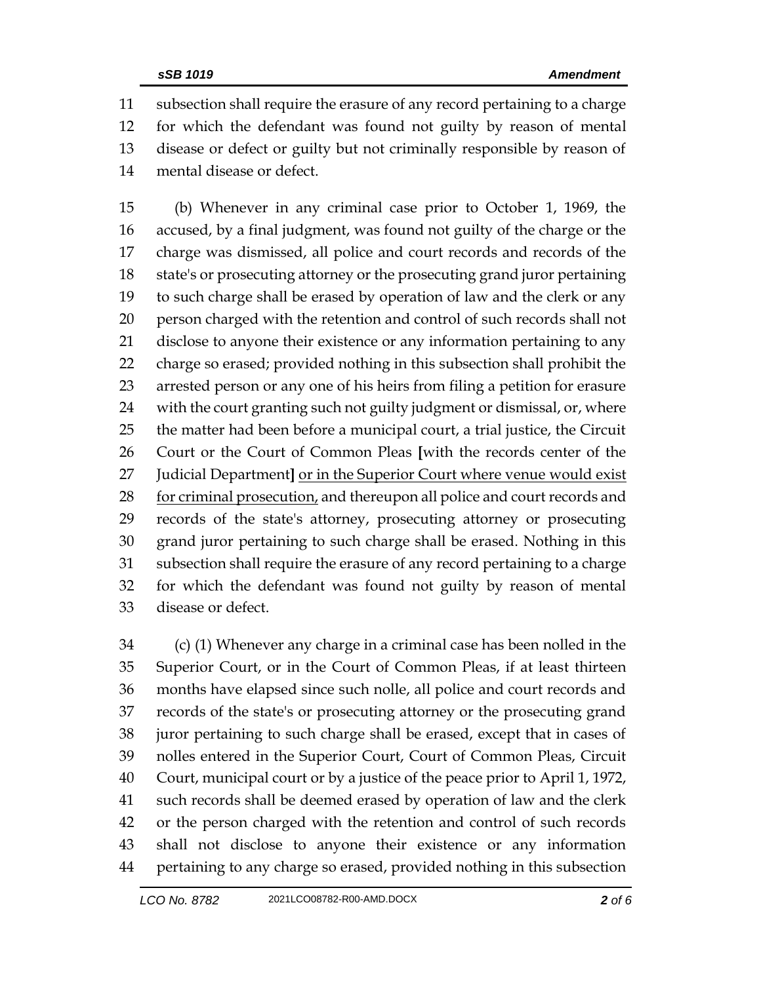subsection shall require the erasure of any record pertaining to a charge for which the defendant was found not guilty by reason of mental disease or defect or guilty but not criminally responsible by reason of mental disease or defect.

 (b) Whenever in any criminal case prior to October 1, 1969, the accused, by a final judgment, was found not guilty of the charge or the charge was dismissed, all police and court records and records of the state's or prosecuting attorney or the prosecuting grand juror pertaining to such charge shall be erased by operation of law and the clerk or any person charged with the retention and control of such records shall not disclose to anyone their existence or any information pertaining to any charge so erased; provided nothing in this subsection shall prohibit the arrested person or any one of his heirs from filing a petition for erasure with the court granting such not guilty judgment or dismissal, or, where the matter had been before a municipal court, a trial justice, the Circuit Court or the Court of Common Pleas **[**with the records center of the Judicial Department**]** or in the Superior Court where venue would exist 28 for criminal prosecution, and thereupon all police and court records and records of the state's attorney, prosecuting attorney or prosecuting grand juror pertaining to such charge shall be erased. Nothing in this subsection shall require the erasure of any record pertaining to a charge for which the defendant was found not guilty by reason of mental disease or defect.

 (c) (1) Whenever any charge in a criminal case has been nolled in the Superior Court, or in the Court of Common Pleas, if at least thirteen months have elapsed since such nolle, all police and court records and records of the state's or prosecuting attorney or the prosecuting grand juror pertaining to such charge shall be erased, except that in cases of nolles entered in the Superior Court, Court of Common Pleas, Circuit Court, municipal court or by a justice of the peace prior to April 1, 1972, such records shall be deemed erased by operation of law and the clerk or the person charged with the retention and control of such records shall not disclose to anyone their existence or any information pertaining to any charge so erased, provided nothing in this subsection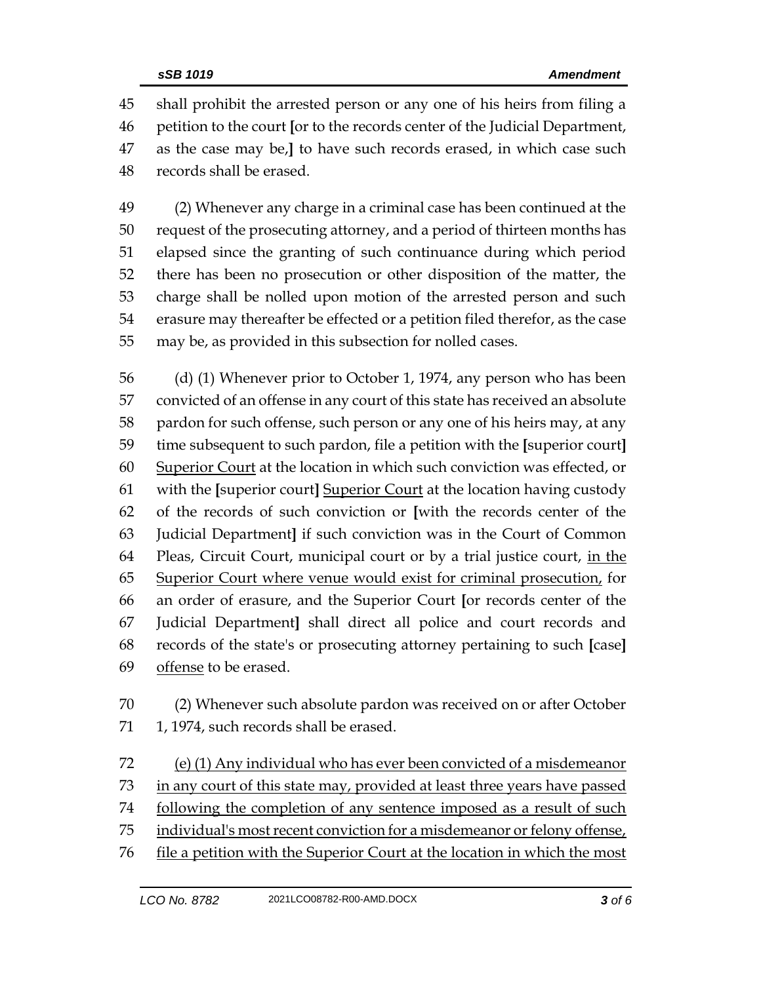shall prohibit the arrested person or any one of his heirs from filing a petition to the court **[**or to the records center of the Judicial Department, as the case may be,**]** to have such records erased, in which case such records shall be erased.

 (2) Whenever any charge in a criminal case has been continued at the request of the prosecuting attorney, and a period of thirteen months has elapsed since the granting of such continuance during which period there has been no prosecution or other disposition of the matter, the charge shall be nolled upon motion of the arrested person and such erasure may thereafter be effected or a petition filed therefor, as the case may be, as provided in this subsection for nolled cases.

 (d) (1) Whenever prior to October 1, 1974, any person who has been convicted of an offense in any court of this state has received an absolute pardon for such offense, such person or any one of his heirs may, at any time subsequent to such pardon, file a petition with the **[**superior court**]** Superior Court at the location in which such conviction was effected, or with the **[**superior court**]** Superior Court at the location having custody of the records of such conviction or **[**with the records center of the Judicial Department**]** if such conviction was in the Court of Common 64 Pleas, Circuit Court, municipal court or by a trial justice court, in the Superior Court where venue would exist for criminal prosecution, for an order of erasure, and the Superior Court **[**or records center of the Judicial Department**]** shall direct all police and court records and records of the state's or prosecuting attorney pertaining to such **[**case**]** offense to be erased.

 (2) Whenever such absolute pardon was received on or after October 71 1, 1974, such records shall be erased.

 (e) (1) Any individual who has ever been convicted of a misdemeanor in any court of this state may, provided at least three years have passed following the completion of any sentence imposed as a result of such 75 individual's most recent conviction for a misdemeanor or felony offense, 76 file a petition with the Superior Court at the location in which the most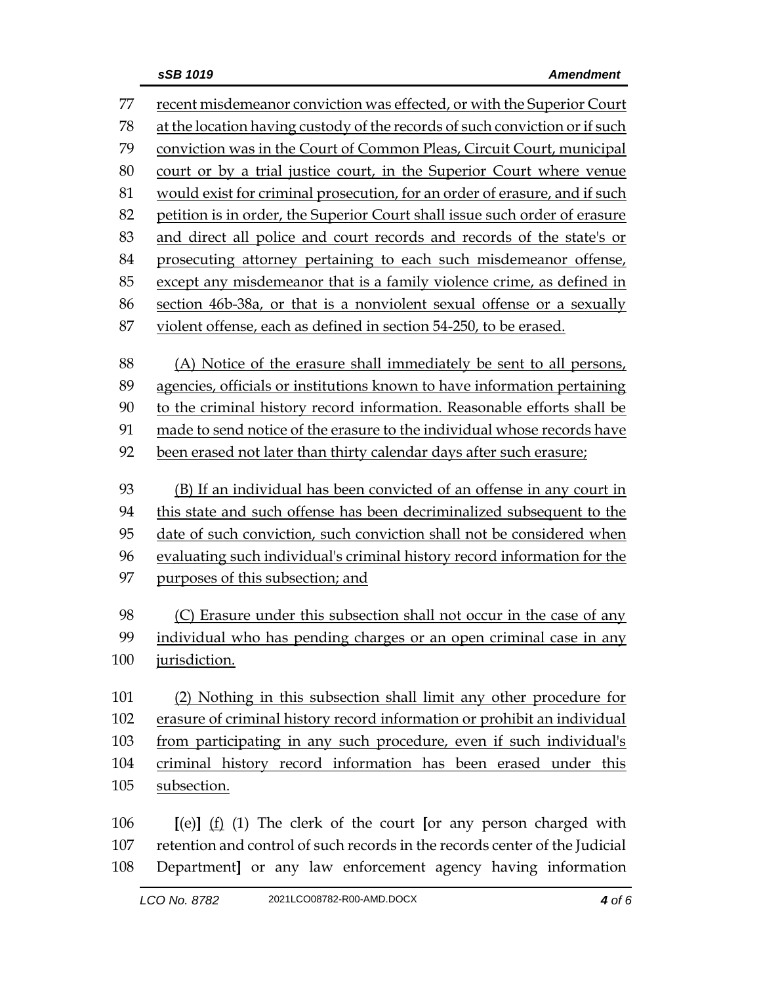| 77  | recent misdemeanor conviction was effected, or with the Superior Court      |
|-----|-----------------------------------------------------------------------------|
| 78  | at the location having custody of the records of such conviction or if such |
| 79  | conviction was in the Court of Common Pleas, Circuit Court, municipal       |
| 80  | court or by a trial justice court, in the Superior Court where venue        |
| 81  | would exist for criminal prosecution, for an order of erasure, and if such  |
| 82  | petition is in order, the Superior Court shall issue such order of erasure  |
| 83  | and direct all police and court records and records of the state's or       |
| 84  | prosecuting attorney pertaining to each such misdemeanor offense,           |
| 85  | except any misdemeanor that is a family violence crime, as defined in       |
| 86  | section 46b-38a, or that is a nonviolent sexual offense or a sexually       |
| 87  | violent offense, each as defined in section 54-250, to be erased.           |
| 88  | (A) Notice of the erasure shall immediately be sent to all persons,         |
| 89  | agencies, officials or institutions known to have information pertaining    |
| 90  | to the criminal history record information. Reasonable efforts shall be     |
| 91  | made to send notice of the erasure to the individual whose records have     |
| 92  | been erased not later than thirty calendar days after such erasure;         |
| 93  | (B) If an individual has been convicted of an offense in any court in       |
| 94  | this state and such offense has been decriminalized subsequent to the       |
| 95  | date of such conviction, such conviction shall not be considered when       |
| 96  | evaluating such individual's criminal history record information for the    |
| 97  | purposes of this subsection; and                                            |
| 98  | (C) Erasure under this subsection shall not occur in the case of any        |
| 99  | individual who has pending charges or an open criminal case in any          |
| 100 | jurisdiction.                                                               |
| 101 | (2) Nothing in this subsection shall limit any other procedure for          |
| 102 | erasure of criminal history record information or prohibit an individual    |
| 103 | from participating in any such procedure, even if such individual's         |
| 104 | criminal history record information has been erased under this              |
| 105 | subsection.                                                                 |
|     |                                                                             |
| 106 | $[(e)]$ $(f)$ $(f)$ The clerk of the court [or any person charged with      |
| 107 | retention and control of such records in the records center of the Judicial |

108 Department**]** or any law enforcement agency having information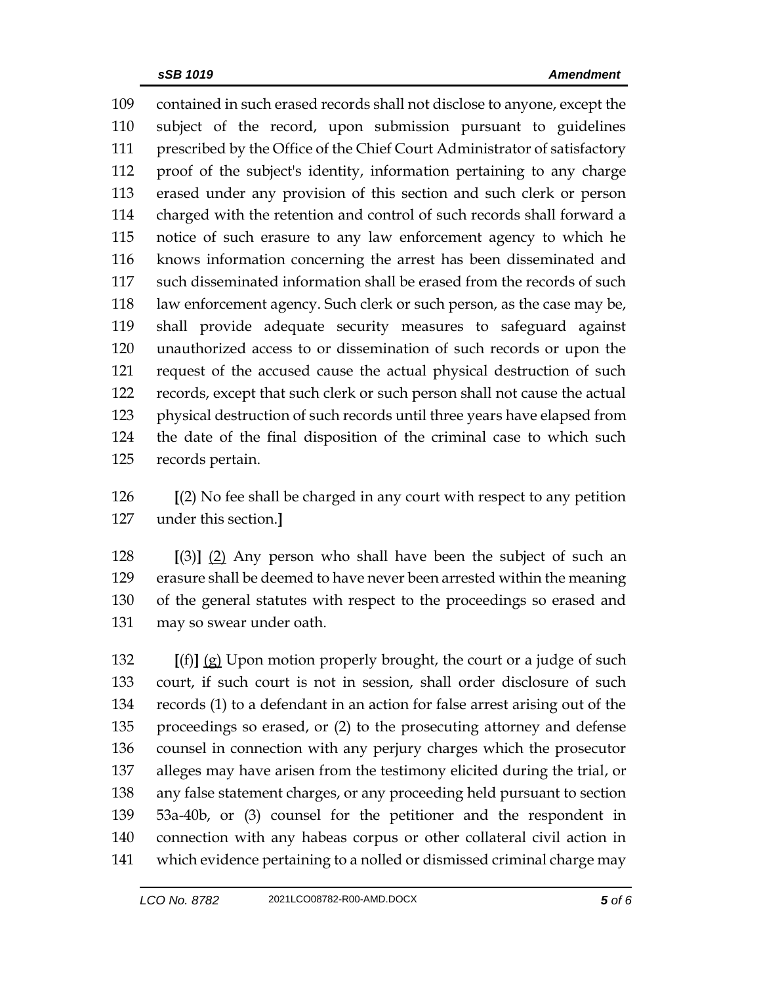contained in such erased records shall not disclose to anyone, except the subject of the record, upon submission pursuant to guidelines prescribed by the Office of the Chief Court Administrator of satisfactory proof of the subject's identity, information pertaining to any charge erased under any provision of this section and such clerk or person charged with the retention and control of such records shall forward a notice of such erasure to any law enforcement agency to which he knows information concerning the arrest has been disseminated and such disseminated information shall be erased from the records of such law enforcement agency. Such clerk or such person, as the case may be, shall provide adequate security measures to safeguard against unauthorized access to or dissemination of such records or upon the request of the accused cause the actual physical destruction of such records, except that such clerk or such person shall not cause the actual physical destruction of such records until three years have elapsed from the date of the final disposition of the criminal case to which such records pertain.

 **[**(2) No fee shall be charged in any court with respect to any petition under this section.**]**

 **[**(3)**]** (2) Any person who shall have been the subject of such an erasure shall be deemed to have never been arrested within the meaning of the general statutes with respect to the proceedings so erased and may so swear under oath.

 **[**(f)**]** (g) Upon motion properly brought, the court or a judge of such court, if such court is not in session, shall order disclosure of such records (1) to a defendant in an action for false arrest arising out of the proceedings so erased, or (2) to the prosecuting attorney and defense counsel in connection with any perjury charges which the prosecutor alleges may have arisen from the testimony elicited during the trial, or any false statement charges, or any proceeding held pursuant to section 53a-40b, or (3) counsel for the petitioner and the respondent in connection with any habeas corpus or other collateral civil action in which evidence pertaining to a nolled or dismissed criminal charge may